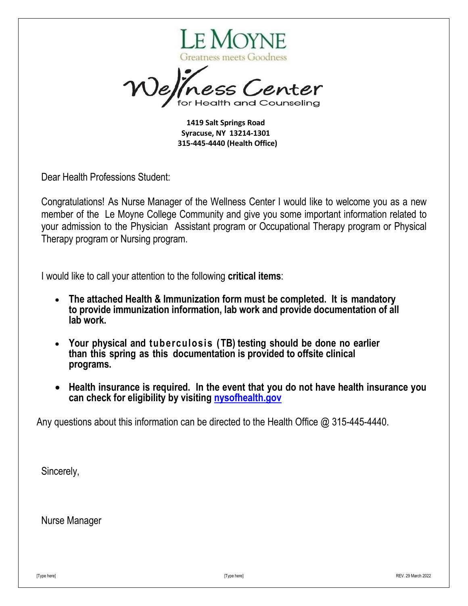

ss Center

**1419 Salt Springs Road Syracuse, NY 13214-1301 315-445-4440 (Health Office)**

Dear Health Professions Student:

Congratulations! As Nurse Manager of the Wellness Center I would like to welcome you as a new member of the Le Moyne College Community and give you some important information related to your admission to the Physician Assistant program or Occupational Therapy program or Physical Therapy program or Nursing program.

I would like to call your attention to the following **critical items**:

- **The attached Health & Immunization form must be completed. It is mandatory to provide immunization information, lab work and provide documentation of all lab work.**
- **Your physical and tuberculosis (TB) testing should be done no earlier than this spring as this documentation is provided to offsite clinical programs.**
- **Health insurance is required. In the event that you do not have health insurance you can check for eligibility by visiting [nysofhealth.](https://nystateofhealth.ny.gov/)gov**

Any questions about this information can be directed to the Health Office @ 315-445-4440.

Sincerely,

Nurse Manager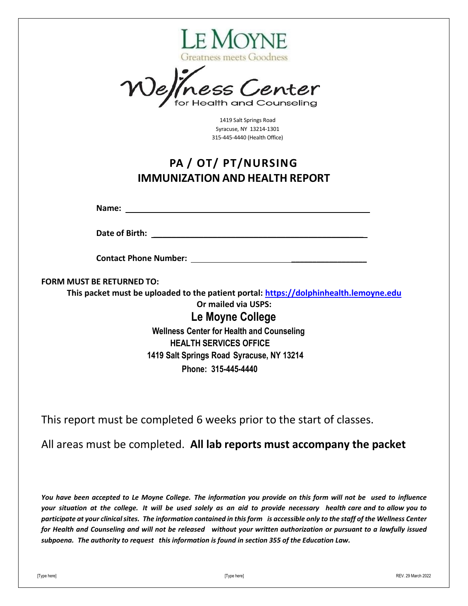

effness Center

1419 Salt Springs Road Syracuse, NY 13214-1301 315-445-4440 (Health Office)

## **PA / OT/ PT/NURSING IMMUNIZATION AND HEALTH REPORT**

**Name:**

**Date of Birth: Date of Birth:**  $\overline{a}$ 

**Contact Phone Number: \_\_\_\_\_\_\_\_\_\_\_\_\_\_\_\_\_\_**

**FORM MUST BE RETURNED TO:**

**This packet must be uploaded to the patient portal: [https://dolphinhealth.lemoyne.edu](https://dolphinhealth.lemoyne.edu/) Or mailed via USPS:** 

> **Le Moyne College Wellness Center for Health and Counseling HEALTH SERVICES OFFICE 1419 Salt Springs Road Syracuse, NY 13214 Phone: 315-445-4440**

This report must be completed 6 weeks prior to the start of classes.

### All areas must be completed. **All lab reports must accompany the packet**

You have been accepted to Le Moyne College. The information you provide on this form will not be used to influence your situation at the college. It will be used solely as an aid to provide necessary health care and to allow you to participate at your clinical sites. The information contained in this form is accessible only to the staff of the Wellness Center for Health and Counseling and will not be released without your written authorization or pursuant to a lawfully issued *subpoena. The authority to request this information is found in section 355 of the Education Law.*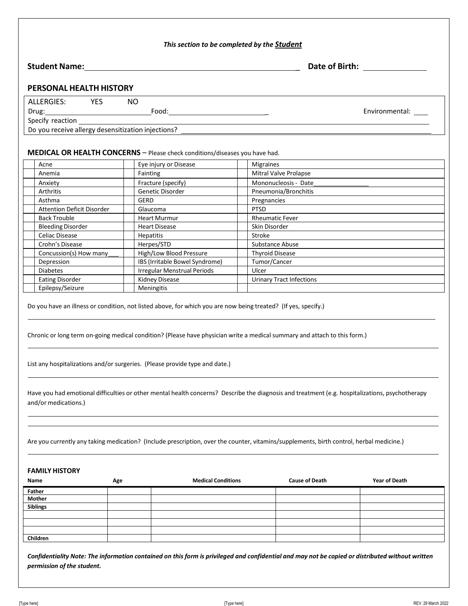| <b>Student Name:</b> And the student of the student of the student of the student of the student of the student of the student of the student of the student of the student of the student of the student of the student of the stu<br><b>PERSONAL HEALTH HISTORY</b><br>ALLERGIES: YES<br>NO.                                                                                                                                                                                                                                  |                                 | Date of Birth: <u>_______________</u> |
|---------------------------------------------------------------------------------------------------------------------------------------------------------------------------------------------------------------------------------------------------------------------------------------------------------------------------------------------------------------------------------------------------------------------------------------------------------------------------------------------------------------------------------|---------------------------------|---------------------------------------|
|                                                                                                                                                                                                                                                                                                                                                                                                                                                                                                                                 |                                 |                                       |
|                                                                                                                                                                                                                                                                                                                                                                                                                                                                                                                                 |                                 |                                       |
|                                                                                                                                                                                                                                                                                                                                                                                                                                                                                                                                 |                                 |                                       |
|                                                                                                                                                                                                                                                                                                                                                                                                                                                                                                                                 |                                 | Environmental: ____                   |
|                                                                                                                                                                                                                                                                                                                                                                                                                                                                                                                                 |                                 |                                       |
|                                                                                                                                                                                                                                                                                                                                                                                                                                                                                                                                 |                                 |                                       |
| MEDICAL OR HEALTH CONCERNS - Please check conditions/diseases you have had.                                                                                                                                                                                                                                                                                                                                                                                                                                                     |                                 |                                       |
| Acne<br>Eye injury or Disease                                                                                                                                                                                                                                                                                                                                                                                                                                                                                                   | Migraines                       |                                       |
| Anemia<br>Fainting                                                                                                                                                                                                                                                                                                                                                                                                                                                                                                              | Mitral Valve Prolapse           |                                       |
| Fracture (specify)<br>Anxiety                                                                                                                                                                                                                                                                                                                                                                                                                                                                                                   | Mononucleosis - Date            |                                       |
| Genetic Disorder<br>Arthritis                                                                                                                                                                                                                                                                                                                                                                                                                                                                                                   | Pneumonia/Bronchitis            |                                       |
| GERD<br>Asthma                                                                                                                                                                                                                                                                                                                                                                                                                                                                                                                  | Pregnancies                     |                                       |
| <b>Attention Deficit Disorder</b><br>Glaucoma                                                                                                                                                                                                                                                                                                                                                                                                                                                                                   | <b>PTSD</b>                     |                                       |
| <b>Back Trouble</b><br><b>Heart Murmur</b>                                                                                                                                                                                                                                                                                                                                                                                                                                                                                      | <b>Rheumatic Fever</b>          |                                       |
| <b>Bleeding Disorder</b><br><b>Heart Disease</b>                                                                                                                                                                                                                                                                                                                                                                                                                                                                                | Skin Disorder                   |                                       |
| Celiac Disease<br>Hepatitis                                                                                                                                                                                                                                                                                                                                                                                                                                                                                                     | Stroke                          |                                       |
| Herpes/STD<br>Crohn's Disease                                                                                                                                                                                                                                                                                                                                                                                                                                                                                                   | Substance Abuse                 |                                       |
| High/Low Blood Pressure<br>Concussion(s) How many                                                                                                                                                                                                                                                                                                                                                                                                                                                                               | <b>Thyroid Disease</b>          |                                       |
| IBS (Irritable Bowel Syndrome)<br>Depression<br><b>Irregular Menstrual Periods</b><br><b>Diabetes</b>                                                                                                                                                                                                                                                                                                                                                                                                                           | Tumor/Cancer<br>Ulcer           |                                       |
| Kidney Disease<br><b>Eating Disorder</b>                                                                                                                                                                                                                                                                                                                                                                                                                                                                                        | <b>Urinary Tract Infections</b> |                                       |
| Epilepsy/Seizure<br>Meningitis                                                                                                                                                                                                                                                                                                                                                                                                                                                                                                  |                                 |                                       |
| Chronic or long term on-going medical condition? (Please have physician write a medical summary and attach to this form.)<br>List any hospitalizations and/or surgeries. (Please provide type and date.)<br>Have you had emotional difficulties or other mental health concerns? Describe the diagnosis and treatment (e.g. hospitalizations, psychotherapy<br>and/or medications.)<br>Are you currently any taking medication? (Include prescription, over the counter, vitamins/supplements, birth control, herbal medicine.) |                                 |                                       |
| <b>FAMILY HISTORY</b><br>Name<br><b>Medical Conditions</b><br>Age                                                                                                                                                                                                                                                                                                                                                                                                                                                               | <b>Cause of Death</b>           | <b>Year of Death</b>                  |
| Father                                                                                                                                                                                                                                                                                                                                                                                                                                                                                                                          |                                 |                                       |
| Mother                                                                                                                                                                                                                                                                                                                                                                                                                                                                                                                          |                                 |                                       |
| Siblings                                                                                                                                                                                                                                                                                                                                                                                                                                                                                                                        |                                 |                                       |
|                                                                                                                                                                                                                                                                                                                                                                                                                                                                                                                                 |                                 |                                       |
|                                                                                                                                                                                                                                                                                                                                                                                                                                                                                                                                 |                                 |                                       |
| Children                                                                                                                                                                                                                                                                                                                                                                                                                                                                                                                        |                                 |                                       |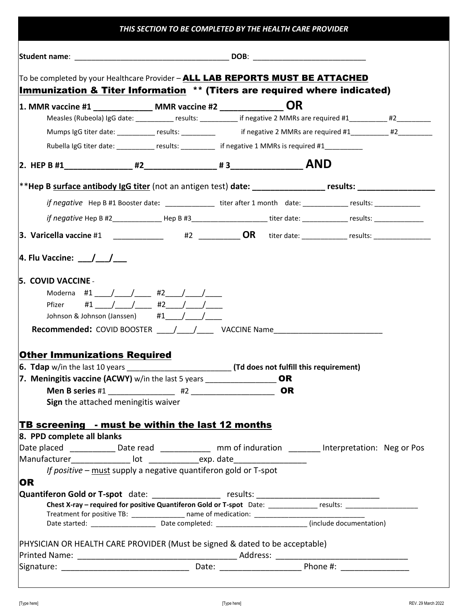| To be completed by your Healthcare Provider - ALL LAB REPORTS MUST BE ATTACHED                                                                                                                                                                                                                                                                                                                                                                                                                                                                                                                 |               |  |           |  |  |  |
|------------------------------------------------------------------------------------------------------------------------------------------------------------------------------------------------------------------------------------------------------------------------------------------------------------------------------------------------------------------------------------------------------------------------------------------------------------------------------------------------------------------------------------------------------------------------------------------------|---------------|--|-----------|--|--|--|
| Immunization & Titer Information ** (Titers are required where indicated)                                                                                                                                                                                                                                                                                                                                                                                                                                                                                                                      |               |  |           |  |  |  |
| 1. MMR vaccine #1 _______________ MMR vaccine #2 _______________ OR                                                                                                                                                                                                                                                                                                                                                                                                                                                                                                                            |               |  |           |  |  |  |
| Measles (Rubeola) IgG date: ____________ results: __________ if negative 2 MMRs are required #1__________ #2________                                                                                                                                                                                                                                                                                                                                                                                                                                                                           |               |  |           |  |  |  |
| Mumps IgG titer date: _________ results: _________ if negative 2 MMRs are required #1_________ #2_______                                                                                                                                                                                                                                                                                                                                                                                                                                                                                       |               |  |           |  |  |  |
| Rubella IgG titer date: __________ results: ________ if negative 1 MMRs is required #1__________                                                                                                                                                                                                                                                                                                                                                                                                                                                                                               |               |  |           |  |  |  |
|                                                                                                                                                                                                                                                                                                                                                                                                                                                                                                                                                                                                |               |  |           |  |  |  |
| **Hep B surface antibody IgG titer (not an antigen test) date: _________________ results: ____________________                                                                                                                                                                                                                                                                                                                                                                                                                                                                                 |               |  |           |  |  |  |
| if negative Hep B #1 Booster date: ________________ titer after 1 month date: ____________ results: ___________                                                                                                                                                                                                                                                                                                                                                                                                                                                                                |               |  |           |  |  |  |
| if negative Hep B #2________________Hep B #3______________________titer date: __________________results: _____________                                                                                                                                                                                                                                                                                                                                                                                                                                                                         |               |  |           |  |  |  |
|                                                                                                                                                                                                                                                                                                                                                                                                                                                                                                                                                                                                |               |  |           |  |  |  |
| <b>3.</b> Varicella vaccine #1 _____________ #2 ____________OR titer date: ___________ results: _______________                                                                                                                                                                                                                                                                                                                                                                                                                                                                                |               |  |           |  |  |  |
| Pfizer<br>Johnson & Johnson (Janssen) $\#1$ <sub>____</sub> /____/____<br>Recommended: COVID BOOSTER _____/ ____/ _____ VACCINE Name ______________________                                                                                                                                                                                                                                                                                                                                                                                                                                    | #1 / / #2 / / |  |           |  |  |  |
|                                                                                                                                                                                                                                                                                                                                                                                                                                                                                                                                                                                                |               |  |           |  |  |  |
|                                                                                                                                                                                                                                                                                                                                                                                                                                                                                                                                                                                                |               |  |           |  |  |  |
|                                                                                                                                                                                                                                                                                                                                                                                                                                                                                                                                                                                                |               |  |           |  |  |  |
|                                                                                                                                                                                                                                                                                                                                                                                                                                                                                                                                                                                                |               |  | <b>OR</b> |  |  |  |
| Sign the attached meningitis waiver                                                                                                                                                                                                                                                                                                                                                                                                                                                                                                                                                            |               |  |           |  |  |  |
|                                                                                                                                                                                                                                                                                                                                                                                                                                                                                                                                                                                                |               |  |           |  |  |  |
|                                                                                                                                                                                                                                                                                                                                                                                                                                                                                                                                                                                                |               |  |           |  |  |  |
|                                                                                                                                                                                                                                                                                                                                                                                                                                                                                                                                                                                                |               |  |           |  |  |  |
|                                                                                                                                                                                                                                                                                                                                                                                                                                                                                                                                                                                                |               |  |           |  |  |  |
| If positive – must supply a negative quantiferon gold or T-spot                                                                                                                                                                                                                                                                                                                                                                                                                                                                                                                                |               |  |           |  |  |  |
|                                                                                                                                                                                                                                                                                                                                                                                                                                                                                                                                                                                                |               |  |           |  |  |  |
|                                                                                                                                                                                                                                                                                                                                                                                                                                                                                                                                                                                                |               |  |           |  |  |  |
|                                                                                                                                                                                                                                                                                                                                                                                                                                                                                                                                                                                                |               |  |           |  |  |  |
|                                                                                                                                                                                                                                                                                                                                                                                                                                                                                                                                                                                                |               |  |           |  |  |  |
|                                                                                                                                                                                                                                                                                                                                                                                                                                                                                                                                                                                                |               |  |           |  |  |  |
| <b>Other Immunizations Required</b><br>7. Meningitis vaccine (ACWY) $w/in$ the last 5 years ____________________OR<br>TB screening - must be within the last 12 months<br>8. PPD complete all blanks<br>Date placed ______________Date read ________________ mm of induration __________ Interpretation: Neg or Pos<br>Manufacturer________________ lot _______________exp. date_______________________<br><b>OR</b><br>Quantiferon Gold or T-spot date: __________________ results: __________________________<br>PHYSICIAN OR HEALTH CARE PROVIDER (Must be signed & dated to be acceptable) |               |  |           |  |  |  |

 $\overline{a}$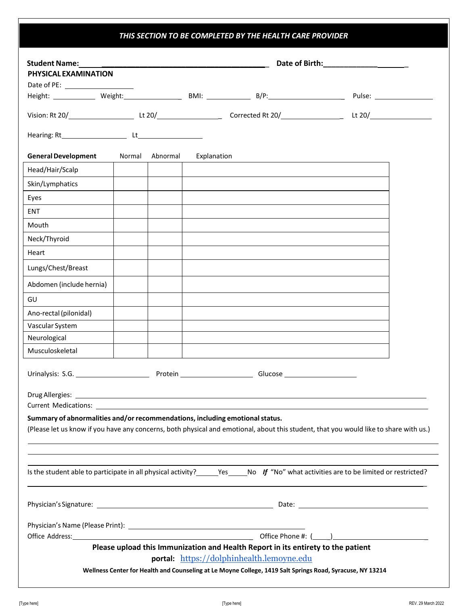### *THIS SECTION TO BE COMPLETED BY THE HEALTH CARE PROVIDER*

| PHYSICAL EXAMINATION                                                         |        |          |             |                                                                                                               |                                                                                                                                                                                                                                      |
|------------------------------------------------------------------------------|--------|----------|-------------|---------------------------------------------------------------------------------------------------------------|--------------------------------------------------------------------------------------------------------------------------------------------------------------------------------------------------------------------------------------|
|                                                                              |        |          |             | Height: ______________ Weight: ____________________ BMI: ________________________ B/P:_______________________ |                                                                                                                                                                                                                                      |
|                                                                              |        |          |             |                                                                                                               |                                                                                                                                                                                                                                      |
|                                                                              |        |          |             |                                                                                                               | Lt 20/ $\overline{\phantom{a}1}$                                                                                                                                                                                                     |
|                                                                              |        |          |             |                                                                                                               |                                                                                                                                                                                                                                      |
| <b>General Development</b>                                                   | Normal | Abnormal | Explanation |                                                                                                               |                                                                                                                                                                                                                                      |
| Head/Hair/Scalp                                                              |        |          |             |                                                                                                               |                                                                                                                                                                                                                                      |
| Skin/Lymphatics                                                              |        |          |             |                                                                                                               |                                                                                                                                                                                                                                      |
| Eyes                                                                         |        |          |             |                                                                                                               |                                                                                                                                                                                                                                      |
| <b>ENT</b>                                                                   |        |          |             |                                                                                                               |                                                                                                                                                                                                                                      |
| Mouth                                                                        |        |          |             |                                                                                                               |                                                                                                                                                                                                                                      |
| Neck/Thyroid                                                                 |        |          |             |                                                                                                               |                                                                                                                                                                                                                                      |
| Heart                                                                        |        |          |             |                                                                                                               |                                                                                                                                                                                                                                      |
| Lungs/Chest/Breast                                                           |        |          |             |                                                                                                               |                                                                                                                                                                                                                                      |
| Abdomen (include hernia)                                                     |        |          |             |                                                                                                               |                                                                                                                                                                                                                                      |
| GU                                                                           |        |          |             |                                                                                                               |                                                                                                                                                                                                                                      |
| Ano-rectal (pilonidal)                                                       |        |          |             |                                                                                                               |                                                                                                                                                                                                                                      |
| Vascular System                                                              |        |          |             |                                                                                                               |                                                                                                                                                                                                                                      |
| Neurological                                                                 |        |          |             |                                                                                                               |                                                                                                                                                                                                                                      |
| Musculoskeletal                                                              |        |          |             |                                                                                                               |                                                                                                                                                                                                                                      |
| Urinalysis: S.G.                                                             |        |          |             |                                                                                                               |                                                                                                                                                                                                                                      |
|                                                                              |        |          |             |                                                                                                               |                                                                                                                                                                                                                                      |
|                                                                              |        |          |             | <b>Current Medications: Example 2018</b>                                                                      |                                                                                                                                                                                                                                      |
| Summary of abnormalities and/or recommendations, including emotional status. |        |          |             |                                                                                                               | (Please let us know if you have any concerns, both physical and emotional, about this student, that you would like to share with us.)                                                                                                |
|                                                                              |        |          |             |                                                                                                               | Is the student able to participate in all physical activity? ______Yes______No If "No" what activities are to be limited or restricted?                                                                                              |
|                                                                              |        |          |             |                                                                                                               |                                                                                                                                                                                                                                      |
|                                                                              |        |          |             |                                                                                                               |                                                                                                                                                                                                                                      |
|                                                                              |        |          |             | Please upload this Immunization and Health Report in its entirety to the patient                              | Office Address: <u>Contract Communications and Contract Communications and Contract Communications and Contract Communications and Communications and Communications and Communications and Communications and Communications an</u> |
|                                                                              |        |          |             |                                                                                                               |                                                                                                                                                                                                                                      |